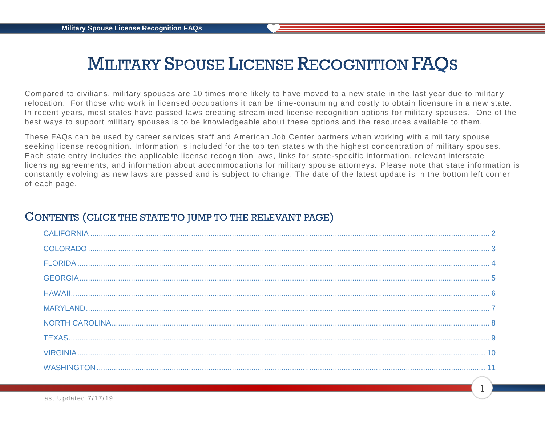## **MILITARY SPOUSE LICENSE RECOGNITION FAQS**

Compared to civilians, military spouses are 10 times more likely to have moved to a new state in the last year due to militar y relocation. For those who work in licensed occupations it can be time-consuming and costly to obtain licensure in a new state. In recent years, most states have passed laws creating streamlined license recognition options for military spouses. One of the best ways to support military spouses is to be knowledgeable about these options and the resources available to them.

These FAQs can be used by career services staff and American Job Center partners when working with a military spouse seeking license recognition. Information is included for the top ten states with the highest concentration of military spouses. Each state entry includes the applicable license recognition laws, links for state-specific information, relevant interstate licensing agreements, and information about accommodations for military spouse attorneys. Please note that state information is constantly evolving as new laws are passed and is subject to change. The date of the latest update is in the bottom left corner of each page.

## CONTENTS (CLICK THE STATE TO JUMP TO THE RELEVANT PAGE)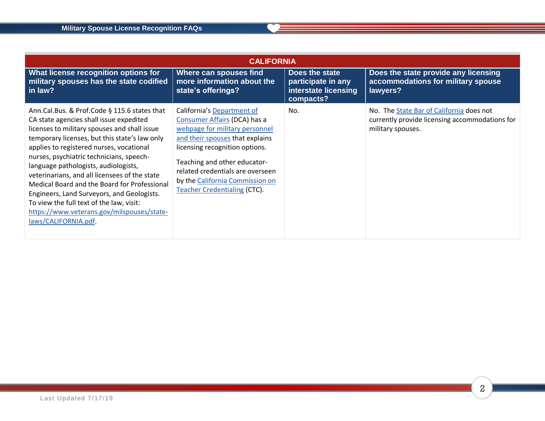<span id="page-1-0"></span>

| <b>CALIFORNIA</b>                                                                                                                                                                                                                                                                                                                                                                                                                                                                                                                                                                         |                                                                                                                                                                                                                                                                                                                 |                                                                           |                                                                                                                 |  |  |
|-------------------------------------------------------------------------------------------------------------------------------------------------------------------------------------------------------------------------------------------------------------------------------------------------------------------------------------------------------------------------------------------------------------------------------------------------------------------------------------------------------------------------------------------------------------------------------------------|-----------------------------------------------------------------------------------------------------------------------------------------------------------------------------------------------------------------------------------------------------------------------------------------------------------------|---------------------------------------------------------------------------|-----------------------------------------------------------------------------------------------------------------|--|--|
| What license recognition options for<br>military spouses has the state codified<br>in law?                                                                                                                                                                                                                                                                                                                                                                                                                                                                                                | Where can spouses find<br>more information about the<br>state's offerings?                                                                                                                                                                                                                                      | Does the state<br>participate in any<br>interstate licensing<br>compacts? | Does the state provide any licensing<br>accommodations for military spouse<br>lawyers?                          |  |  |
| Ann.Cal.Bus. & Prof.Code § 115.6 states that<br>CA state agencies shall issue expedited<br>licenses to military spouses and shall issue<br>temporary licenses, but this state's law only<br>applies to registered nurses, vocational<br>nurses, psychiatric technicians, speech-<br>language pathologists, audiologists,<br>veterinarians, and all licensees of the state<br>Medical Board and the Board for Professional<br>Engineers, Land Surveyors, and Geologists.<br>To view the full text of the law, visit:<br>https://www.veterans.gov/milspouses/state-<br>laws/CALIFORNIA.pdf. | California's Department of<br>Consumer Affairs (DCA) has a<br>webpage for military personnel<br>and their spouses that explains<br>licensing recognition options.<br>Teaching and other educator-<br>related credentials are overseen<br>by the California Commission on<br><b>Teacher Credentialing (CTC).</b> | No.                                                                       | No. The State Bar of California does not<br>currently provide licensing accommodations for<br>military spouses. |  |  |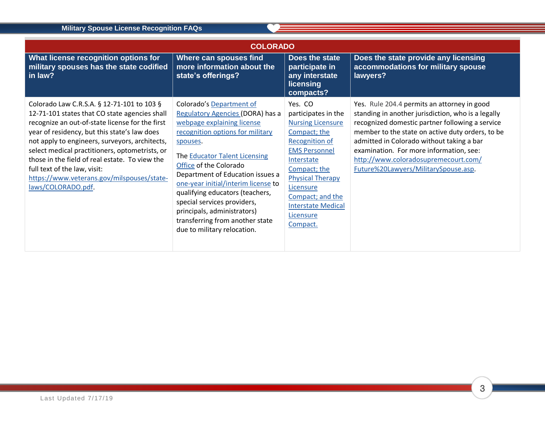<span id="page-2-0"></span>

| <b>COLORADO</b>                                                                                                                                                                                                                                                                                                                                                                                                                                          |                                                                                                                                                                                                                                                                                                                                                                                                                                                            |                                                                                                                                                                                                                                                                             |                                                                                                                                                                                                                                                                                                                                                                                  |  |
|----------------------------------------------------------------------------------------------------------------------------------------------------------------------------------------------------------------------------------------------------------------------------------------------------------------------------------------------------------------------------------------------------------------------------------------------------------|------------------------------------------------------------------------------------------------------------------------------------------------------------------------------------------------------------------------------------------------------------------------------------------------------------------------------------------------------------------------------------------------------------------------------------------------------------|-----------------------------------------------------------------------------------------------------------------------------------------------------------------------------------------------------------------------------------------------------------------------------|----------------------------------------------------------------------------------------------------------------------------------------------------------------------------------------------------------------------------------------------------------------------------------------------------------------------------------------------------------------------------------|--|
| What license recognition options for<br>military spouses has the state codified<br>in law?                                                                                                                                                                                                                                                                                                                                                               | Where can spouses find<br>more information about the<br>state's offerings?                                                                                                                                                                                                                                                                                                                                                                                 | Does the state<br>participate in<br>any interstate<br>licensing<br>compacts?                                                                                                                                                                                                | Does the state provide any licensing<br>accommodations for military spouse<br>lawyers?                                                                                                                                                                                                                                                                                           |  |
| Colorado Law C.R.S.A. § 12-71-101 to 103 §<br>12-71-101 states that CO state agencies shall<br>recognize an out-of-state license for the first<br>year of residency, but this state's law does<br>not apply to engineers, surveyors, architects,<br>select medical practitioners, optometrists, or<br>those in the field of real estate. To view the<br>full text of the law, visit:<br>https://www.veterans.gov/milspouses/state-<br>laws/COLORADO.pdf. | <b>Colorado's Department of</b><br>Regulatory Agencies (DORA) has a<br>webpage explaining license<br>recognition options for military<br>spouses.<br>The Educator Talent Licensing<br>Office of the Colorado<br>Department of Education issues a<br>one-year initial/interim license to<br>qualifying educators (teachers,<br>special services providers,<br>principals, administrators)<br>transferring from another state<br>due to military relocation. | Yes. CO<br>participates in the<br><b>Nursing Licensure</b><br>Compact; the<br><b>Recognition of</b><br><b>EMS Personnel</b><br>Interstate<br>Compact; the<br><b>Physical Therapy</b><br>Licensure<br>Compact; and the<br><b>Interstate Medical</b><br>Licensure<br>Compact. | Yes. Rule 204.4 permits an attorney in good<br>standing in another jurisdiction, who is a legally<br>recognized domestic partner following a service<br>member to the state on active duty orders, to be<br>admitted in Colorado without taking a bar<br>examination. For more information, see:<br>http://www.coloradosupremecourt.com/<br>Future%20Lawyers/MilitarySpouse.asp. |  |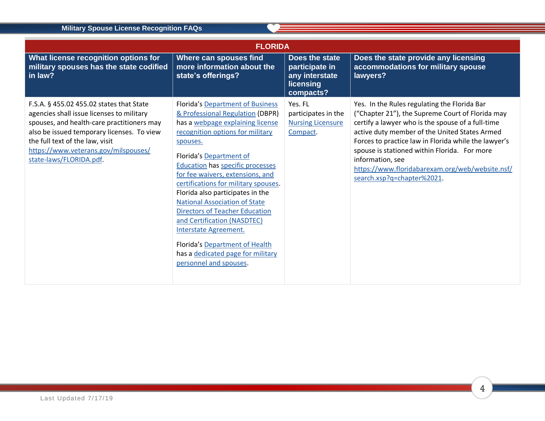<span id="page-3-0"></span>

| <b>FLORIDA</b>                                                                                                                                                                                                                                                                          |                                                                                                                                                                                                                                                                                                                                                                                                                                                                                                                                                                                                 |                                                                              |                                                                                                                                                                                                                                                                                                                                                                                                                     |  |
|-----------------------------------------------------------------------------------------------------------------------------------------------------------------------------------------------------------------------------------------------------------------------------------------|-------------------------------------------------------------------------------------------------------------------------------------------------------------------------------------------------------------------------------------------------------------------------------------------------------------------------------------------------------------------------------------------------------------------------------------------------------------------------------------------------------------------------------------------------------------------------------------------------|------------------------------------------------------------------------------|---------------------------------------------------------------------------------------------------------------------------------------------------------------------------------------------------------------------------------------------------------------------------------------------------------------------------------------------------------------------------------------------------------------------|--|
| What license recognition options for<br>military spouses has the state codified<br>in law?                                                                                                                                                                                              | Where can spouses find<br>more information about the<br>state's offerings?                                                                                                                                                                                                                                                                                                                                                                                                                                                                                                                      | Does the state<br>participate in<br>any interstate<br>licensing<br>compacts? | Does the state provide any licensing<br>accommodations for military spouse<br>lawyers?                                                                                                                                                                                                                                                                                                                              |  |
| F.S.A. § 455.02 455.02 states that State<br>agencies shall issue licenses to military<br>spouses, and health-care practitioners may<br>also be issued temporary licenses. To view<br>the full text of the law, visit<br>https://www.veterans.gov/milspouses/<br>state-laws/FLORIDA.pdf. | <b>Florida's Department of Business</b><br>& Professional Regulation (DBPR)<br>has a webpage explaining license<br>recognition options for military<br>spouses.<br>Florida's Department of<br><b>Education has specific processes</b><br>for fee waivers, extensions, and<br>certifications for military spouses.<br>Florida also participates in the<br><b>National Association of State</b><br><b>Directors of Teacher Education</b><br>and Certification (NASDTEC)<br>Interstate Agreement.<br>Florida's Department of Health<br>has a dedicated page for military<br>personnel and spouses. | Yes. FL<br>participates in the<br><b>Nursing Licensure</b><br>Compact.       | Yes. In the Rules regulating the Florida Bar<br>("Chapter 21"), the Supreme Court of Florida may<br>certify a lawyer who is the spouse of a full-time<br>active duty member of the United States Armed<br>Forces to practice law in Florida while the lawyer's<br>spouse is stationed within Florida. For more<br>information, see<br>https://www.floridabarexam.org/web/website.nsf/<br>search.xsp?q=chapter%2021. |  |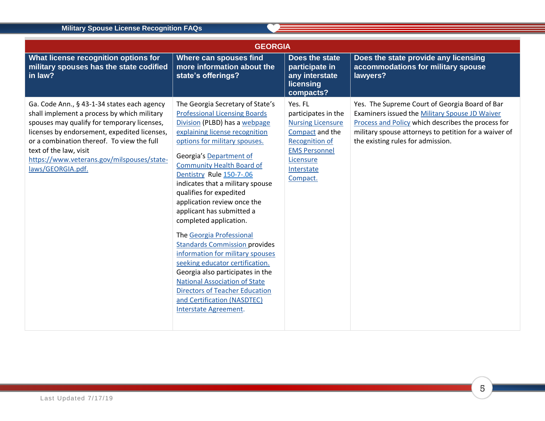<span id="page-4-0"></span>

| <b>GEORGIA</b>                                                                                                                                                                                                                                                                                                                       |                                                                                                                                                                                                                                                                                                                                                                                                                                                                                                                                                                                                                                                                                                                                                      |                                                                                                                                                                       |                                                                                                                                                                                                                                                      |  |
|--------------------------------------------------------------------------------------------------------------------------------------------------------------------------------------------------------------------------------------------------------------------------------------------------------------------------------------|------------------------------------------------------------------------------------------------------------------------------------------------------------------------------------------------------------------------------------------------------------------------------------------------------------------------------------------------------------------------------------------------------------------------------------------------------------------------------------------------------------------------------------------------------------------------------------------------------------------------------------------------------------------------------------------------------------------------------------------------------|-----------------------------------------------------------------------------------------------------------------------------------------------------------------------|------------------------------------------------------------------------------------------------------------------------------------------------------------------------------------------------------------------------------------------------------|--|
| What license recognition options for<br>military spouses has the state codified<br>in law?                                                                                                                                                                                                                                           | <b>Where can spouses find</b><br>more information about the<br>state's offerings?                                                                                                                                                                                                                                                                                                                                                                                                                                                                                                                                                                                                                                                                    | Does the state<br>participate in<br>any interstate<br>licensing<br>compacts?                                                                                          | Does the state provide any licensing<br>accommodations for military spouse<br>lawyers?                                                                                                                                                               |  |
| Ga. Code Ann., § 43-1-34 states each agency<br>shall implement a process by which military<br>spouses may qualify for temporary licenses,<br>licenses by endorsement, expedited licenses,<br>or a combination thereof. To view the full<br>text of the law, visit<br>https://www.veterans.gov/milspouses/state-<br>laws/GEORGIA.pdf. | The Georgia Secretary of State's<br><b>Professional Licensing Boards</b><br>Division (PLBD) has a webpage<br>explaining license recognition<br>options for military spouses.<br>Georgia's Department of<br><b>Community Health Board of</b><br>Dentistry Rule 150-7-.06<br>indicates that a military spouse<br>qualifies for expedited<br>application review once the<br>applicant has submitted a<br>completed application.<br>The Georgia Professional<br><b>Standards Commission provides</b><br>information for military spouses<br>seeking educator certification.<br>Georgia also participates in the<br><b>National Association of State</b><br><b>Directors of Teacher Education</b><br>and Certification (NASDTEC)<br>Interstate Agreement. | Yes. FL<br>participates in the<br><b>Nursing Licensure</b><br>Compact and the<br><b>Recognition of</b><br><b>EMS Personnel</b><br>Licensure<br>Interstate<br>Compact. | Yes. The Supreme Court of Georgia Board of Bar<br>Examiners issued the Military Spouse JD Waiver<br>Process and Policy which describes the process for<br>military spouse attorneys to petition for a waiver of<br>the existing rules for admission. |  |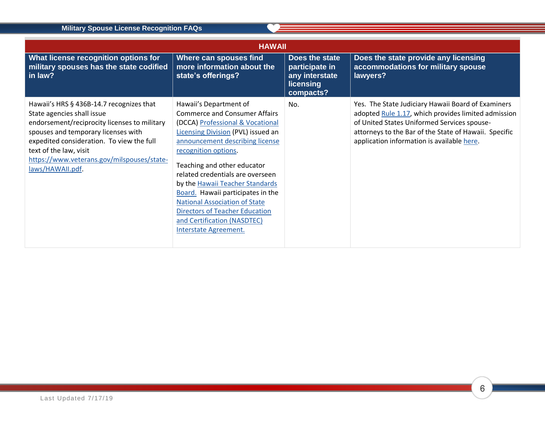<span id="page-5-0"></span>

| <b>HAWAII</b>                                                                                                                                                                                                                                                                                          |                                                                                                                                                                                                                                                                                                                                                                                                                                                                                         |                                                                              |                                                                                                                                                                                                                                                                 |  |
|--------------------------------------------------------------------------------------------------------------------------------------------------------------------------------------------------------------------------------------------------------------------------------------------------------|-----------------------------------------------------------------------------------------------------------------------------------------------------------------------------------------------------------------------------------------------------------------------------------------------------------------------------------------------------------------------------------------------------------------------------------------------------------------------------------------|------------------------------------------------------------------------------|-----------------------------------------------------------------------------------------------------------------------------------------------------------------------------------------------------------------------------------------------------------------|--|
| What license recognition options for<br>military spouses has the state codified<br>in law?                                                                                                                                                                                                             | Where can spouses find<br>more information about the<br>state's offerings?                                                                                                                                                                                                                                                                                                                                                                                                              | Does the state<br>participate in<br>any interstate<br>licensing<br>compacts? | Does the state provide any licensing<br>accommodations for military spouse<br>lawyers?                                                                                                                                                                          |  |
| Hawaii's HRS § 436B-14.7 recognizes that<br>State agencies shall issue<br>endorsement/reciprocity licenses to military<br>spouses and temporary licenses with<br>expedited consideration. To view the full<br>text of the law, visit<br>https://www.veterans.gov/milspouses/state-<br>laws/HAWAII.pdf. | Hawaii's Department of<br><b>Commerce and Consumer Affairs</b><br>(DCCA) Professional & Vocational<br>Licensing Division (PVL) issued an<br>announcement describing license<br>recognition options.<br>Teaching and other educator<br>related credentials are overseen<br>by the Hawaii Teacher Standards<br>Board. Hawaii participates in the<br><b>National Association of State</b><br><b>Directors of Teacher Education</b><br>and Certification (NASDTEC)<br>Interstate Agreement. | No.                                                                          | Yes. The State Judiciary Hawaii Board of Examiners<br>adopted Rule 1.17, which provides limited admission<br>of United States Uniformed Services spouse-<br>attorneys to the Bar of the State of Hawaii. Specific<br>application information is available here. |  |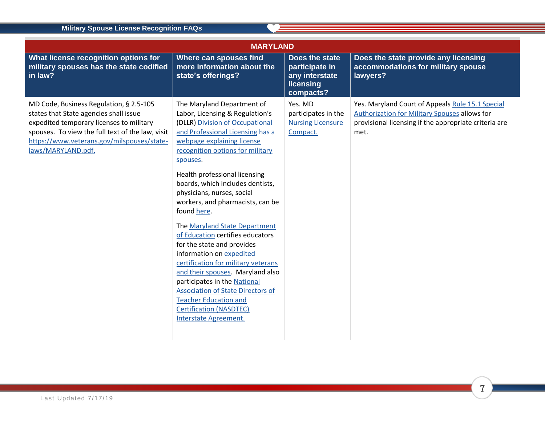<span id="page-6-0"></span>

| <b>MARYLAND</b>                                                                                                                                                                                                                                       |                                                                                                                                                                                                                                                                                                                                                                                                                                                                                                                                                                                                                                                                                                                                                           |                                                                              |                                                                                                                                                                    |  |
|-------------------------------------------------------------------------------------------------------------------------------------------------------------------------------------------------------------------------------------------------------|-----------------------------------------------------------------------------------------------------------------------------------------------------------------------------------------------------------------------------------------------------------------------------------------------------------------------------------------------------------------------------------------------------------------------------------------------------------------------------------------------------------------------------------------------------------------------------------------------------------------------------------------------------------------------------------------------------------------------------------------------------------|------------------------------------------------------------------------------|--------------------------------------------------------------------------------------------------------------------------------------------------------------------|--|
| What license recognition options for<br>military spouses has the state codified<br>in law?                                                                                                                                                            | Where can spouses find<br>more information about the<br>state's offerings?                                                                                                                                                                                                                                                                                                                                                                                                                                                                                                                                                                                                                                                                                | Does the state<br>participate in<br>any interstate<br>licensing<br>compacts? | Does the state provide any licensing<br>accommodations for military spouse<br>lawyers?                                                                             |  |
| MD Code, Business Regulation, § 2.5-105<br>states that State agencies shall issue<br>expedited temporary licenses to military<br>spouses. To view the full text of the law, visit<br>https://www.veterans.gov/milspouses/state-<br>laws/MARYLAND.pdf. | The Maryland Department of<br>Labor, Licensing & Regulation's<br>(DLLR) Division of Occupational<br>and Professional Licensing has a<br>webpage explaining license<br>recognition options for military<br>spouses.<br>Health professional licensing<br>boards, which includes dentists,<br>physicians, nurses, social<br>workers, and pharmacists, can be<br>found here.<br>The Maryland State Department<br>of Education certifies educators<br>for the state and provides<br>information on expedited<br>certification for military veterans<br>and their spouses. Maryland also<br>participates in the National<br><b>Association of State Directors of</b><br><b>Teacher Education and</b><br><b>Certification (NASDTEC)</b><br>Interstate Agreement. | Yes. MD<br>participates in the<br><b>Nursing Licensure</b><br>Compact.       | Yes. Maryland Court of Appeals Rule 15.1 Special<br>Authorization for Military Spouses allows for<br>provisional licensing if the appropriate criteria are<br>met. |  |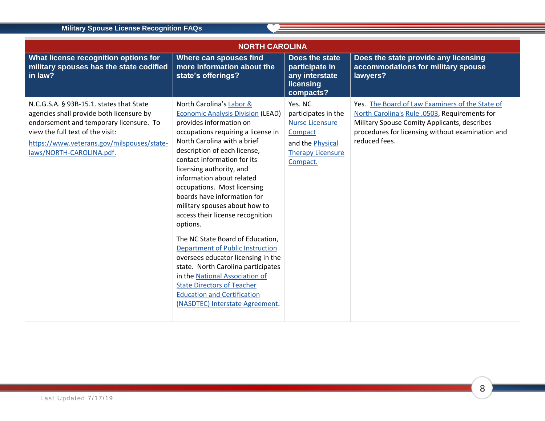<span id="page-7-0"></span>

| <b>NORTH CAROLINA</b>                                                                                                                                                                                                                         |                                                                                                                                                                                                                                                                                                                                                                                                                                                                                                                                                                                                                                                                                                                                                        |                                                                                                                                 |                                                                                                                                                                                                                       |  |
|-----------------------------------------------------------------------------------------------------------------------------------------------------------------------------------------------------------------------------------------------|--------------------------------------------------------------------------------------------------------------------------------------------------------------------------------------------------------------------------------------------------------------------------------------------------------------------------------------------------------------------------------------------------------------------------------------------------------------------------------------------------------------------------------------------------------------------------------------------------------------------------------------------------------------------------------------------------------------------------------------------------------|---------------------------------------------------------------------------------------------------------------------------------|-----------------------------------------------------------------------------------------------------------------------------------------------------------------------------------------------------------------------|--|
| What license recognition options for<br>military spouses has the state codified<br>in law?                                                                                                                                                    | Where can spouses find<br>more information about the<br>state's offerings?                                                                                                                                                                                                                                                                                                                                                                                                                                                                                                                                                                                                                                                                             | Does the state<br>participate in<br>any interstate<br>licensing<br>compacts?                                                    | Does the state provide any licensing<br>accommodations for military spouse<br>lawyers?                                                                                                                                |  |
| N.C.G.S.A. § 93B-15.1. states that State<br>agencies shall provide both licensure by<br>endorsement and temporary licensure. To<br>view the full text of the visit:<br>https://www.veterans.gov/milspouses/state-<br>laws/NORTH-CAROLINA.pdf. | North Carolina's Labor &<br><b>Economic Analysis Division (LEAD)</b><br>provides information on<br>occupations requiring a license in<br>North Carolina with a brief<br>description of each license,<br>contact information for its<br>licensing authority, and<br>information about related<br>occupations. Most licensing<br>boards have information for<br>military spouses about how to<br>access their license recognition<br>options.<br>The NC State Board of Education,<br><b>Department of Public Instruction</b><br>oversees educator licensing in the<br>state. North Carolina participates<br>in the National Association of<br><b>State Directors of Teacher</b><br><b>Education and Certification</b><br>(NASDTEC) Interstate Agreement. | Yes. NC<br>participates in the<br><b>Nurse Licensure</b><br>Compact<br>and the Physical<br><b>Therapy Licensure</b><br>Compact. | Yes. The Board of Law Examiners of the State of<br>North Carolina's Rule .0503, Requirements for<br>Military Spouse Comity Applicants, describes<br>procedures for licensing without examination and<br>reduced fees. |  |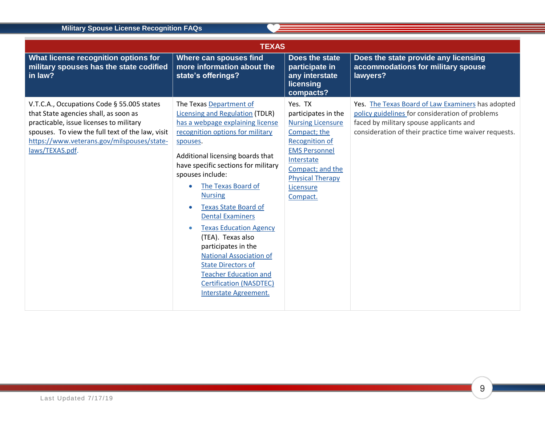**COL** 

<span id="page-8-0"></span>

| <b>TEXAS</b>                                                                                                                                                                                                                                        |                                                                                                                                                                                                                                                                                                                                                                                                                                                                                                                                                                                               |                                                                                                                                                                                                                   |                                                                                                                                                                                                          |  |
|-----------------------------------------------------------------------------------------------------------------------------------------------------------------------------------------------------------------------------------------------------|-----------------------------------------------------------------------------------------------------------------------------------------------------------------------------------------------------------------------------------------------------------------------------------------------------------------------------------------------------------------------------------------------------------------------------------------------------------------------------------------------------------------------------------------------------------------------------------------------|-------------------------------------------------------------------------------------------------------------------------------------------------------------------------------------------------------------------|----------------------------------------------------------------------------------------------------------------------------------------------------------------------------------------------------------|--|
| What license recognition options for<br>military spouses has the state codified<br>in law?                                                                                                                                                          | Where can spouses find<br>more information about the<br>state's offerings?                                                                                                                                                                                                                                                                                                                                                                                                                                                                                                                    | Does the state<br>participate in<br>any interstate<br>licensing<br>compacts?                                                                                                                                      | Does the state provide any licensing<br>accommodations for military spouse<br>lawyers?                                                                                                                   |  |
| V.T.C.A., Occupations Code § 55.005 states<br>that State agencies shall, as soon as<br>practicable, issue licenses to military<br>spouses. To view the full text of the law, visit<br>https://www.veterans.gov/milspouses/state-<br>laws/TEXAS.pdf. | The Texas Department of<br><b>Licensing and Regulation (TDLR)</b><br>has a webpage explaining license<br>recognition options for military<br>spouses.<br>Additional licensing boards that<br>have specific sections for military<br>spouses include:<br>The Texas Board of<br><b>Nursing</b><br><b>Texas State Board of</b><br><b>Dental Examiners</b><br><b>Texas Education Agency</b><br>(TEA). Texas also<br>participates in the<br><b>National Association of</b><br><b>State Directors of</b><br><b>Teacher Education and</b><br><b>Certification (NASDTEC)</b><br>Interstate Agreement. | Yes. TX<br>participates in the<br><b>Nursing Licensure</b><br>Compact; the<br><b>Recognition of</b><br><b>EMS Personnel</b><br>Interstate<br>Compact; and the<br><b>Physical Therapy</b><br>Licensure<br>Compact. | Yes. The Texas Board of Law Examiners has adopted<br>policy guidelines for consideration of problems<br>faced by military spouse applicants and<br>consideration of their practice time waiver requests. |  |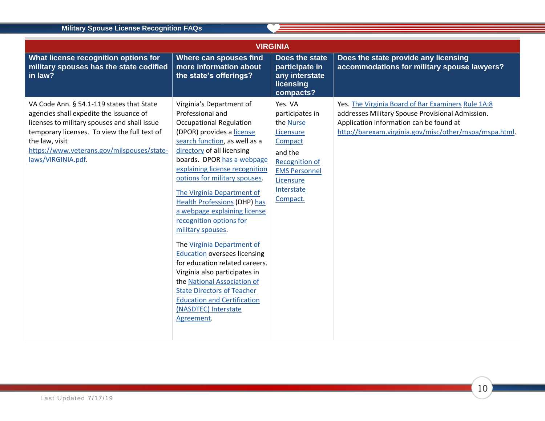<span id="page-9-0"></span>

| <b>VIRGINIA</b>                                                                                                                                                                                                                                                            |                                                                                                                                                                                                                                                                                                                                                                                                                                                                                                                                                                                                                                                                                                                          |                                                                                                                                                             |                                                                                                                                                                                                             |  |
|----------------------------------------------------------------------------------------------------------------------------------------------------------------------------------------------------------------------------------------------------------------------------|--------------------------------------------------------------------------------------------------------------------------------------------------------------------------------------------------------------------------------------------------------------------------------------------------------------------------------------------------------------------------------------------------------------------------------------------------------------------------------------------------------------------------------------------------------------------------------------------------------------------------------------------------------------------------------------------------------------------------|-------------------------------------------------------------------------------------------------------------------------------------------------------------|-------------------------------------------------------------------------------------------------------------------------------------------------------------------------------------------------------------|--|
| What license recognition options for<br>military spouses has the state codified<br>in law?                                                                                                                                                                                 | Where can spouses find<br>more information about<br>the state's offerings?                                                                                                                                                                                                                                                                                                                                                                                                                                                                                                                                                                                                                                               | Does the state<br>participate in<br>any interstate<br>licensing<br>compacts?                                                                                | Does the state provide any licensing<br>accommodations for military spouse lawyers?                                                                                                                         |  |
| VA Code Ann. § 54.1-119 states that State<br>agencies shall expedite the issuance of<br>licenses to military spouses and shall issue<br>temporary licenses. To view the full text of<br>the law, visit<br>https://www.veterans.gov/milspouses/state-<br>laws/VIRGINIA.pdf. | Virginia's Department of<br>Professional and<br><b>Occupational Regulation</b><br>(DPOR) provides a license<br>search function, as well as a<br>directory of all licensing<br>boards. DPOR has a webpage<br>explaining license recognition<br>options for military spouses.<br>The Virginia Department of<br><b>Health Professions (DHP) has</b><br>a webpage explaining license<br>recognition options for<br>military spouses.<br>The Virginia Department of<br><b>Education oversees licensing</b><br>for education related careers.<br>Virginia also participates in<br>the National Association of<br><b>State Directors of Teacher</b><br><b>Education and Certification</b><br>(NASDTEC) Interstate<br>Agreement. | Yes. VA<br>participates in<br>the Nurse<br>Licensure<br>Compact<br>and the<br>Recognition of<br><b>EMS Personnel</b><br>Licensure<br>Interstate<br>Compact. | Yes. The Virginia Board of Bar Examiners Rule 1A:8<br>addresses Military Spouse Provisional Admission.<br>Application information can be found at<br>http://barexam.virginia.gov/misc/other/mspa/mspa.html. |  |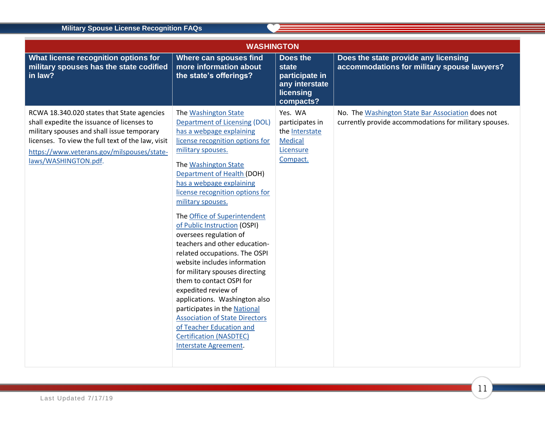<span id="page-10-0"></span>

| <b>WASHINGTON</b>                                                                                                                                                                                                                                                 |                                                                                                                                                                                                                                                                                                                                                                                                                                                                                                                                                                                                                                                                                                                                                                                     |                                                                                         |                                                                                                             |  |
|-------------------------------------------------------------------------------------------------------------------------------------------------------------------------------------------------------------------------------------------------------------------|-------------------------------------------------------------------------------------------------------------------------------------------------------------------------------------------------------------------------------------------------------------------------------------------------------------------------------------------------------------------------------------------------------------------------------------------------------------------------------------------------------------------------------------------------------------------------------------------------------------------------------------------------------------------------------------------------------------------------------------------------------------------------------------|-----------------------------------------------------------------------------------------|-------------------------------------------------------------------------------------------------------------|--|
| What license recognition options for<br>military spouses has the state codified<br>in law?                                                                                                                                                                        | <b>Where can spouses find</b><br>more information about<br>the state's offerings?                                                                                                                                                                                                                                                                                                                                                                                                                                                                                                                                                                                                                                                                                                   | Does the<br><b>state</b><br>participate in<br>any interstate<br>licensing<br>compacts?  | Does the state provide any licensing<br>accommodations for military spouse lawyers?                         |  |
| RCWA 18.340.020 states that State agencies<br>shall expedite the issuance of licenses to<br>military spouses and shall issue temporary<br>licenses. To view the full text of the law, visit<br>https://www.veterans.gov/milspouses/state-<br>laws/WASHINGTON.pdf. | The Washington State<br>Department of Licensing (DOL)<br>has a webpage explaining<br>license recognition options for<br>military spouses.<br>The Washington State<br><b>Department of Health (DOH)</b><br>has a webpage explaining<br>license recognition options for<br>military spouses.<br>The Office of Superintendent<br>of Public Instruction (OSPI)<br>oversees regulation of<br>teachers and other education-<br>related occupations. The OSPI<br>website includes information<br>for military spouses directing<br>them to contact OSPI for<br>expedited review of<br>applications. Washington also<br>participates in the National<br><b>Association of State Directors</b><br>of Teacher Education and<br><b>Certification (NASDTEC)</b><br><b>Interstate Agreement.</b> | Yes. WA<br>participates in<br>the Interstate<br><b>Medical</b><br>Licensure<br>Compact. | No. The Washington State Bar Association does not<br>currently provide accommodations for military spouses. |  |